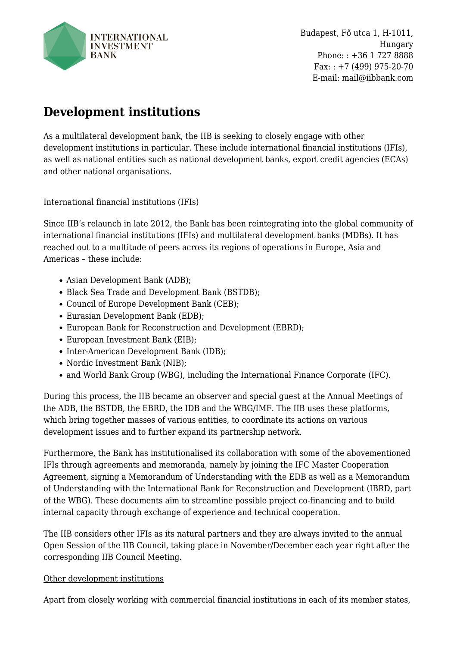

Budapest, Fő utca 1, H-1011, Hungary Phone: : +36 1 727 8888  $Fax: +7(499)975-20-70$ E-mail: mail@iibbank.com

## **Development institutions**

As a multilateral development bank, the IIB is seeking to closely engage with other development institutions in particular. These include international financial institutions (IFIs), as well as national entities such as national development banks, export credit agencies (ECAs) and other national organisations.

## International financial institutions (IFIs)

Since IIB's relaunch in late 2012, the Bank has been reintegrating into the global community of international financial institutions (IFIs) and multilateral development banks (MDBs). It has reached out to a multitude of peers across its regions of operations in Europe, Asia and Americas – these include:

- Asian Development Bank (ADB);
- Black Sea Trade and Development Bank (BSTDB);
- Council of Europe Development Bank (CEB);
- Eurasian Development Bank (EDB);
- European Bank for Reconstruction and Development (EBRD);
- European Investment Bank (EIB);
- Inter-American Development Bank (IDB);
- Nordic Investment Bank (NIB);
- and World Bank Group (WBG), including the International Finance Corporate (IFC).

During this process, the IIB became an observer and special guest at the Annual Meetings of the ADB, the BSTDB, the EBRD, the IDB and the WBG/IMF. The IIB uses these platforms, which bring together masses of various entities, to coordinate its actions on various development issues and to further expand its partnership network.

Furthermore, the Bank has institutionalised its collaboration with some of the abovementioned IFIs through agreements and memoranda, namely by joining the IFC Master Cooperation Agreement, signing a Memorandum of Understanding with the EDB as well as a Memorandum of Understanding with the International Bank for Reconstruction and Development (IBRD, part of the WBG). These documents aim to streamline possible project co-financing and to build internal capacity through exchange of experience and technical cooperation.

The IIB considers other IFIs as its natural partners and they are always invited to the annual Open Session of the IIB Council, taking place in November/December each year right after the corresponding IIB Council Meeting.

## Other development institutions

Apart from closely working with commercial financial institutions in each of its member states,